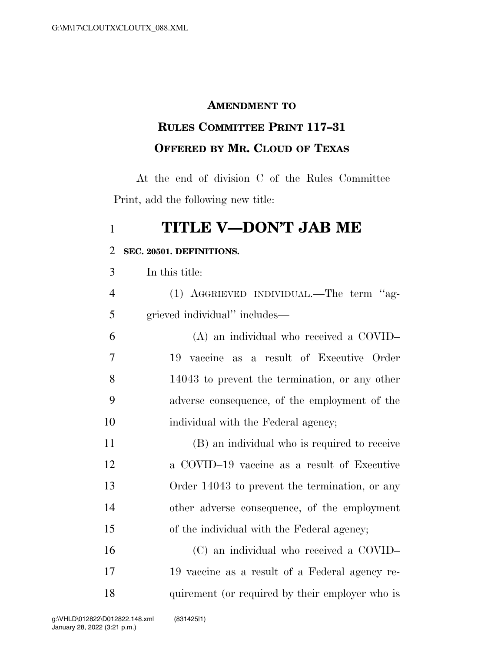### **AMENDMENT TO**

# **RULES COMMITTEE PRINT 117–31 OFFERED BY MR. CLOUD OF TEXAS**

At the end of division C of the Rules Committee Print, add the following new title:

## **TITLE V—DON'T JAB ME**

#### **SEC. 20501. DEFINITIONS.**

In this title:

| $\overline{4}$ | (1) AGGRIEVED INDIVIDUAL.—The term "ag- |  |
|----------------|-----------------------------------------|--|
|                | grieved individual" includes—           |  |

 (A) an individual who received a COVID– 19 vaccine as a result of Executive Order 14043 to prevent the termination, or any other adverse consequence, of the employment of the 10 individual with the Federal agency;

 (B) an individual who is required to receive a COVID–19 vaccine as a result of Executive Order 14043 to prevent the termination, or any other adverse consequence, of the employment of the individual with the Federal agency;

 (C) an individual who received a COVID– 19 vaccine as a result of a Federal agency re-quirement (or required by their employer who is